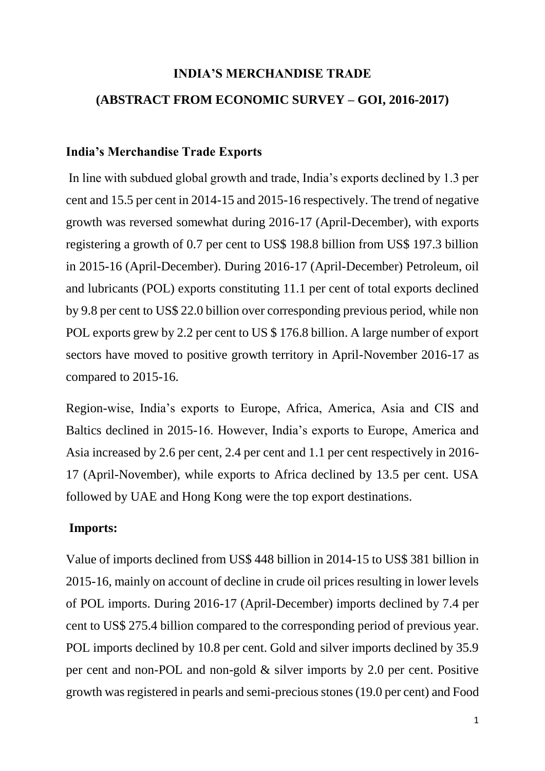## **INDIA'S MERCHANDISE TRADE**

## **(ABSTRACT FROM ECONOMIC SURVEY – GOI, 2016-2017)**

## **India's Merchandise Trade Exports**

In line with subdued global growth and trade, India's exports declined by 1.3 per cent and 15.5 per cent in 2014-15 and 2015-16 respectively. The trend of negative growth was reversed somewhat during 2016-17 (April-December), with exports registering a growth of 0.7 per cent to US\$ 198.8 billion from US\$ 197.3 billion in 2015-16 (April-December). During 2016-17 (April-December) Petroleum, oil and lubricants (POL) exports constituting 11.1 per cent of total exports declined by 9.8 per cent to US\$ 22.0 billion over corresponding previous period, while non POL exports grew by 2.2 per cent to US \$ 176.8 billion. A large number of export sectors have moved to positive growth territory in April-November 2016-17 as compared to 2015-16.

Region-wise, India's exports to Europe, Africa, America, Asia and CIS and Baltics declined in 2015-16. However, India's exports to Europe, America and Asia increased by 2.6 per cent, 2.4 per cent and 1.1 per cent respectively in 2016- 17 (April-November), while exports to Africa declined by 13.5 per cent. USA followed by UAE and Hong Kong were the top export destinations.

## **Imports:**

Value of imports declined from US\$ 448 billion in 2014-15 to US\$ 381 billion in 2015-16, mainly on account of decline in crude oil prices resulting in lower levels of POL imports. During 2016-17 (April-December) imports declined by 7.4 per cent to US\$ 275.4 billion compared to the corresponding period of previous year. POL imports declined by 10.8 per cent. Gold and silver imports declined by 35.9 per cent and non-POL and non-gold & silver imports by 2.0 per cent. Positive growth was registered in pearls and semi-precious stones (19.0 per cent) and Food